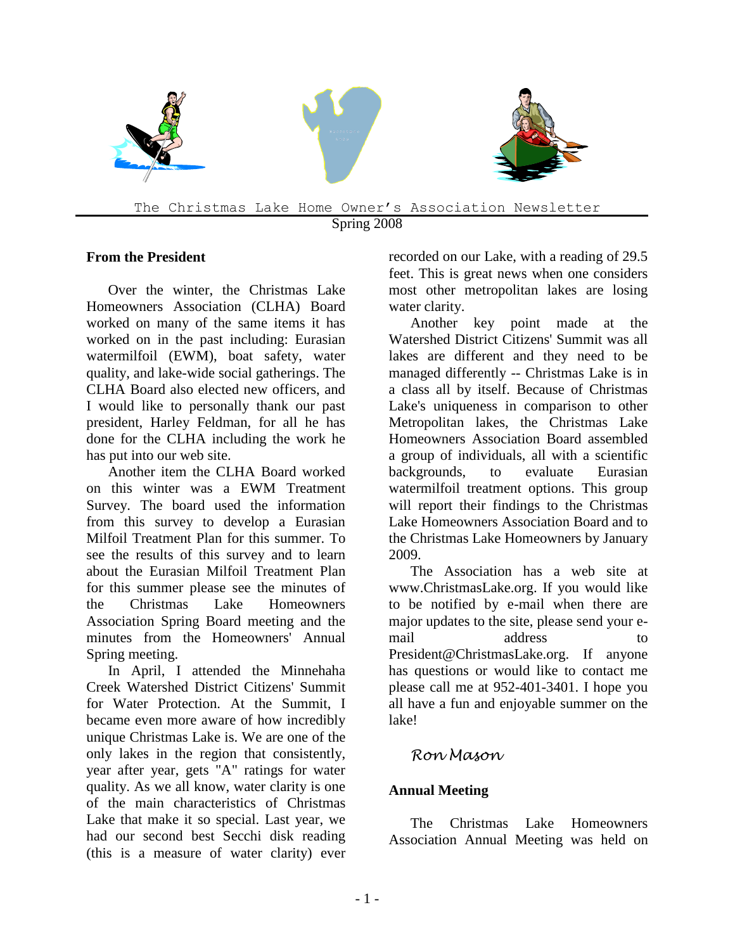

#### **From the President**

Over the winter, the Christmas Lake Homeowners Association (CLHA) Board worked on many of the same items it has worked on in the past including: Eurasian watermilfoil (EWM), boat safety, water quality, and lake-wide social gatherings. The CLHA Board also elected new officers, and I would like to personally thank our past president, Harley Feldman, for all he has done for the CLHA including the work he has put into our web site.

Another item the CLHA Board worked on this winter was a EWM Treatment Survey. The board used the information from this survey to develop a Eurasian Milfoil Treatment Plan for this summer. To see the results of this survey and to learn about the Eurasian Milfoil Treatment Plan for this summer please see the minutes of the Christmas Lake Homeowners Association Spring Board meeting and the minutes from the Homeowners' Annual Spring meeting.

In April, I attended the Minnehaha Creek Watershed District Citizens' Summit for Water Protection. At the Summit, I became even more aware of how incredibly unique Christmas Lake is. We are one of the only lakes in the region that consistently, year after year, gets "A" ratings for water quality. As we all know, water clarity is one of the main characteristics of Christmas Lake that make it so special. Last year, we had our second best Secchi disk reading (this is a measure of water clarity) ever recorded on our Lake, with a reading of 29.5 feet. This is great news when one considers most other metropolitan lakes are losing water clarity.

Another key point made at the Watershed District Citizens' Summit was all lakes are different and they need to be managed differently -- Christmas Lake is in a class all by itself. Because of Christmas Lake's uniqueness in comparison to other Metropolitan lakes, the Christmas Lake Homeowners Association Board assembled a group of individuals, all with a scientific backgrounds, to evaluate Eurasian watermilfoil treatment options. This group will report their findings to the Christmas Lake Homeowners Association Board and to the Christmas Lake Homeowners by January 2009.

The Association has a web site at www.ChristmasLake.org. If you would like to be notified by e-mail when there are major updates to the site, please send your email address to President@ChristmasLake.org. If anyone has questions or would like to contact me please call me at 952-401-3401. I hope you all have a fun and enjoyable summer on the lake!

## *Ron Mason*

#### **Annual Meeting**

The Christmas Lake Homeowners Association Annual Meeting was held on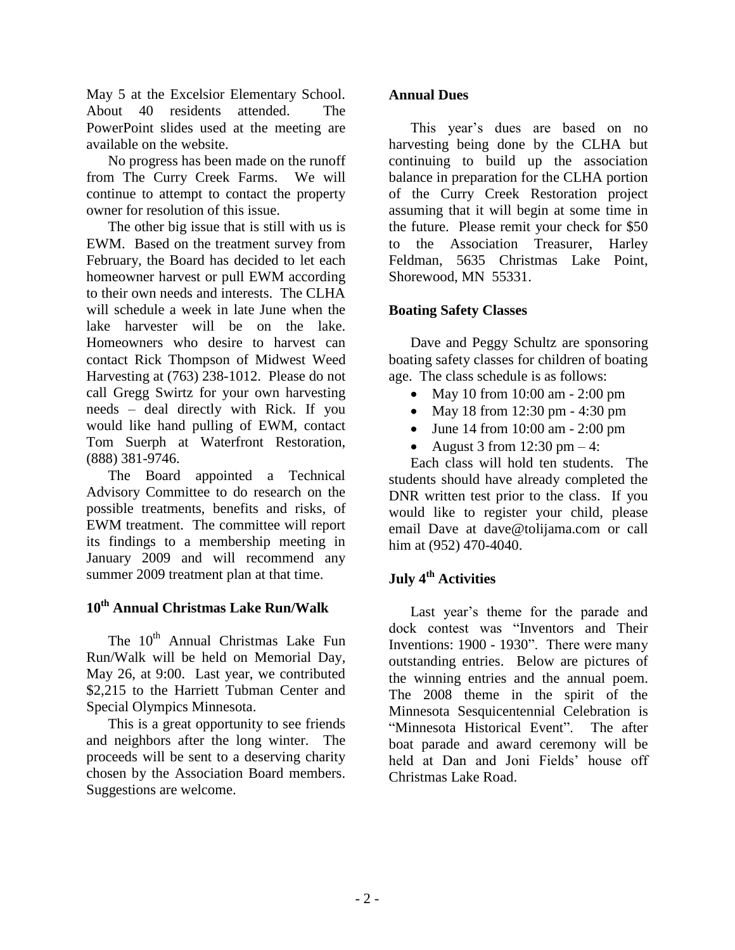May 5 at the Excelsior Elementary School. About 40 residents attended. The PowerPoint slides used at the meeting are available on the website.

No progress has been made on the runoff from The Curry Creek Farms. We will continue to attempt to contact the property owner for resolution of this issue.

The other big issue that is still with us is EWM. Based on the treatment survey from February, the Board has decided to let each homeowner harvest or pull EWM according to their own needs and interests. The CLHA will schedule a week in late June when the lake harvester will be on the lake. Homeowners who desire to harvest can contact Rick Thompson of Midwest Weed Harvesting at (763) 238-1012. Please do not call Gregg Swirtz for your own harvesting needs – deal directly with Rick. If you would like hand pulling of EWM, contact Tom Suerph at Waterfront Restoration, (888) 381-9746.

The Board appointed a Technical Advisory Committee to do research on the possible treatments, benefits and risks, of EWM treatment. The committee will report its findings to a membership meeting in January 2009 and will recommend any summer 2009 treatment plan at that time.

#### **10th Annual Christmas Lake Run/Walk**

The 10<sup>th</sup> Annual Christmas Lake Fun Run/Walk will be held on Memorial Day, May 26, at 9:00. Last year, we contributed \$2,215 to the Harriett Tubman Center and Special Olympics Minnesota.

This is a great opportunity to see friends and neighbors after the long winter. The proceeds will be sent to a deserving charity chosen by the Association Board members. Suggestions are welcome.

#### **Annual Dues**

This year's dues are based on no harvesting being done by the CLHA but continuing to build up the association balance in preparation for the CLHA portion of the Curry Creek Restoration project assuming that it will begin at some time in the future. Please remit your check for \$50 to the Association Treasurer, Harley Feldman, 5635 Christmas Lake Point, Shorewood, MN 55331.

### **Boating Safety Classes**

Dave and Peggy Schultz are sponsoring boating safety classes for children of boating age. The class schedule is as follows:

- May 10 from 10:00 am 2:00 pm
- May 18 from 12:30 pm 4:30 pm
- June 14 from 10:00 am 2:00 pm
- August 3 from  $12:30 \text{ pm} 4$ :

Each class will hold ten students. The students should have already completed the DNR written test prior to the class. If you would like to register your child, please email Dave at dave@tolijama.com or call him at (952) 470-4040.

# **July 4th Activities**

Last year's theme for the parade and dock contest was "Inventors and Their Inventions: 1900 - 1930". There were many outstanding entries. Below are pictures of the winning entries and the annual poem. The 2008 theme in the spirit of the Minnesota Sesquicentennial Celebration is "Minnesota Historical Event". The after boat parade and award ceremony will be held at Dan and Joni Fields' house off Christmas Lake Road.